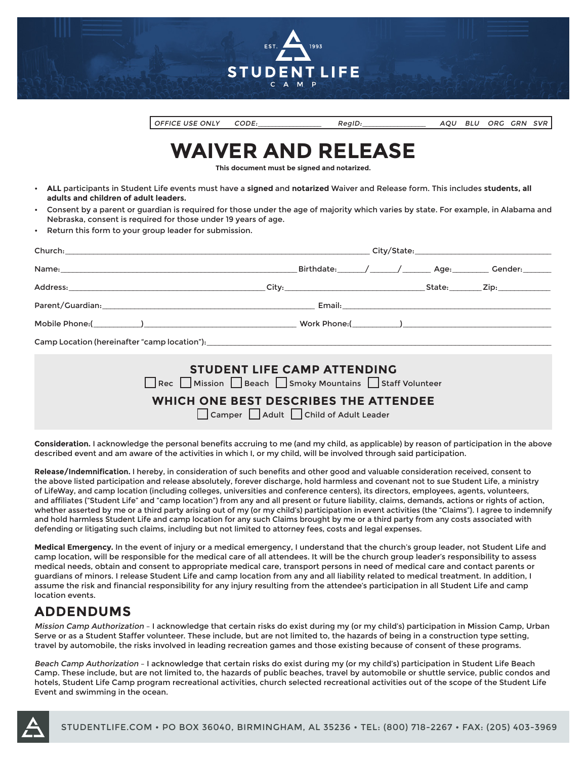

OFFICE USE ONLY CODE:\_\_\_\_\_\_\_\_\_\_\_\_\_\_\_\_\_\_ RegID:\_\_\_\_\_\_\_\_\_\_\_\_\_\_\_\_\_\_ AQU BLU ORG GRN SVR

# **WAIVER AND RELEASE**

**This document must be signed and notarized.**

- **ALL** participants in Student Life events must have a **signed** and **notarized** Waiver and Release form. This includes **students, all adults and children of adult leaders.**
- Consent by a parent or guardian is required for those under the age of majority which varies by state. For example, in Alabama and Nebraska, consent is required for those under 19 years of age.
- Return this form to your group leader for submission.

|                                    |  |  |  |  |  | Birthdate: / / / Age: Age: Cender: |  |  |
|------------------------------------|--|--|--|--|--|------------------------------------|--|--|
|                                    |  |  |  |  |  |                                    |  |  |
|                                    |  |  |  |  |  |                                    |  |  |
|                                    |  |  |  |  |  |                                    |  |  |
|                                    |  |  |  |  |  |                                    |  |  |
| <b>STUDENT LIFE CAMP ATTENDING</b> |  |  |  |  |  |                                    |  |  |

| STUDENT LIFE CAMP ATTENDING<br>□ Rec ■ Mission ■ Beach ■ Smoky Mountains ■ Staff Volunteer |  |  |  |  |  |
|--------------------------------------------------------------------------------------------|--|--|--|--|--|
| WHICH ONE BEST DESCRIBES THE ATTENDEE<br>Camper Adult Child of Adult Leader                |  |  |  |  |  |

**Consideration.** I acknowledge the personal benefits accruing to me (and my child, as applicable) by reason of participation in the above described event and am aware of the activities in which I, or my child, will be involved through said participation.

**Release/Indemnification.** I hereby, in consideration of such benefits and other good and valuable consideration received, consent to the above listed participation and release absolutely, forever discharge, hold harmless and covenant not to sue Student Life, a ministry of LifeWay, and camp location (including colleges, universities and conference centers), its directors, employees, agents, volunteers, and affiliates ("Student Life" and "camp location") from any and all present or future liability, claims, demands, actions or rights of action, whether asserted by me or a third party arising out of my (or my child's) participation in event activities (the "Claims"). I agree to indemnify and hold harmless Student Life and camp location for any such Claims brought by me or a third party from any costs associated with defending or litigating such claims, including but not limited to attorney fees, costs and legal expenses.

**Medical Emergency.** In the event of injury or a medical emergency, I understand that the church's group leader, not Student Life and camp location, will be responsible for the medical care of all attendees. It will be the church group leader's responsibility to assess medical needs, obtain and consent to appropriate medical care, transport persons in need of medical care and contact parents or guardians of minors. I release Student Life and camp location from any and all liability related to medical treatment. In addition, I assume the risk and financial responsibility for any injury resulting from the attendee's participation in all Student Life and camp location events.

#### **ADDENDUMS**

Mission Camp Authorization – I acknowledge that certain risks do exist during my (or my child's) participation in Mission Camp, Urban Serve or as a Student Staffer volunteer. These include, but are not limited to, the hazards of being in a construction type setting, travel by automobile, the risks involved in leading recreation games and those existing because of consent of these programs.

Beach Camp Authorization – I acknowledge that certain risks do exist during my (or my child's) participation in Student Life Beach Camp. These include, but are not limited to, the hazards of public beaches, travel by automobile or shuttle service, public condos and hotels, Student Life Camp program recreational activities, church selected recreational activities out of the scope of the Student Life Event and swimming in the ocean.